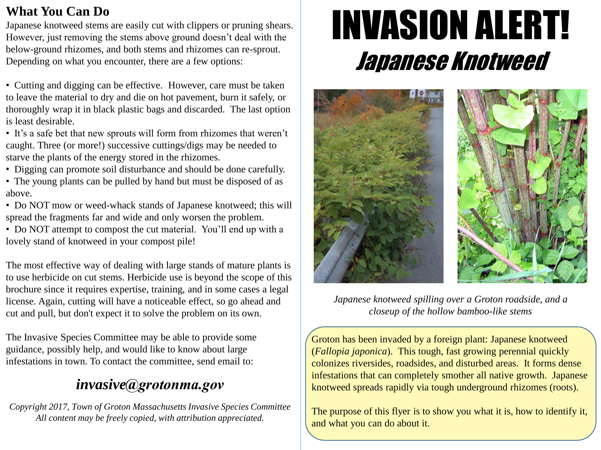### **What You Can Do**

Japanese knotweed stems are easily cut with clippers or pruning shears. However, just removing the stems above ground doesn't deal with the below-ground rhizomes, and both stems and rhizomes can re-sprout. Depending on what you encounter, there are a few options:

• Cutting and digging can be effective. However, care must be taken to leave the material to dry and die on hot pavement, burn it safely, or thoroughly wrap it in black plastic bags and discarded. The last option is least desirable.

- It's a safe bet that new sprouts will form from rhizomes that weren't caught. Three (or more!) successive cuttings/digs may be needed to starve the plants of the energy stored in the rhizomes.
- Digging can promote soil disturbance and should be done carefully.
- The young plants can be pulled by hand but must be disposed of as above.
- Do NOT mow or weed-whack stands of Japanese knotweed; this will spread the fragments far and wide and only worsen the problem.

• Do NOT attempt to compost the cut material. You'll end up with a lovely stand of knotweed in your compost pile!

The most effective way of dealing with large stands of mature plants is to use herbicide on cut stems. Herbicide use is beyond the scope of this brochure since it requires expertise, training, and in some cases a legal license. Again, cutting will have a noticeable effect, so go ahead and cut and pull, but don't expect it to solve the problem on its own.

The Invasive Species Committee may be able to provide some guidance, possibly help, and would like to know about large infestations in town. To contact the committee, send email to:

# *invasive@grotonma.gov*

*Copyright 2017, Town of Groton Massachusetts Invasive Species Committee All content may be freely copied, with attribution appreciated.*

# INVASION ALERT! Japanese Knotweed



*Japanese knotweed spilling over a Groton roadside, and a closeup of the hollow bamboo-like stems*

Groton has been invaded by a foreign plant: Japanese knotweed (*Fallopia japonica*). This tough, fast growing perennial quickly colonizes riversides, roadsides, and disturbed areas. It forms dense infestations that can completely smother all native growth. Japanese knotweed spreads rapidly via tough underground rhizomes (roots).

The purpose of this flyer is to show you what it is, how to identify it, and what you can do about it.